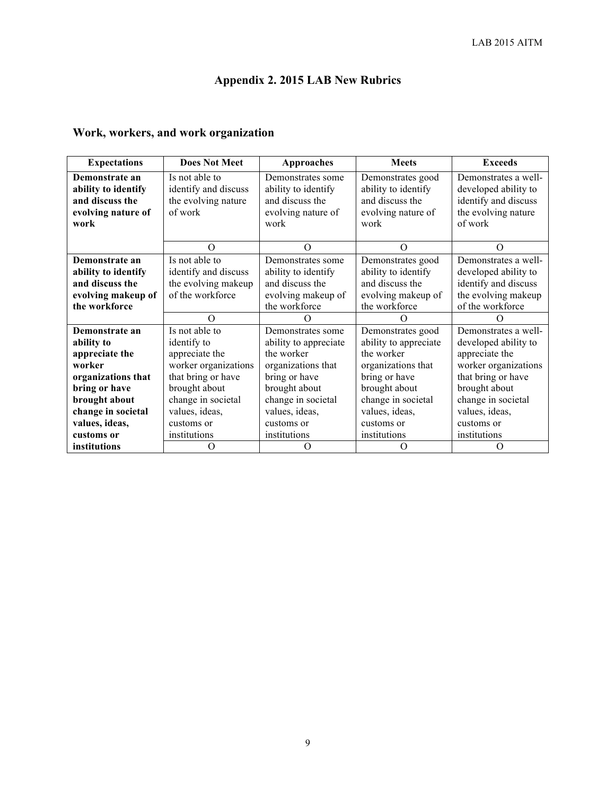# **Appendix 2. 2015 LAB New Rubrics**

### **Work, workers, and work organization**

| <b>Expectations</b>                                      | <b>Does Not Meet</b>                                          | <b>Approaches</b>                                           | <b>Meets</b>                                                | <b>Exceeds</b>                                                       |
|----------------------------------------------------------|---------------------------------------------------------------|-------------------------------------------------------------|-------------------------------------------------------------|----------------------------------------------------------------------|
| Demonstrate an<br>ability to identify<br>and discuss the | Is not able to<br>identify and discuss<br>the evolving nature | Demonstrates some<br>ability to identify<br>and discuss the | Demonstrates good<br>ability to identify<br>and discuss the | Demonstrates a well-<br>developed ability to<br>identify and discuss |
| evolving nature of<br>work                               | of work                                                       | evolving nature of<br>work                                  | evolving nature of<br>work                                  | the evolving nature<br>of work                                       |
|                                                          | $\Omega$                                                      | $\Omega$                                                    | $\Omega$                                                    | $\Omega$                                                             |
| Demonstrate an                                           | Is not able to                                                | Demonstrates some                                           | Demonstrates good                                           | Demonstrates a well-                                                 |
| ability to identify                                      | identify and discuss                                          | ability to identify                                         | ability to identify                                         | developed ability to                                                 |
| and discuss the                                          | the evolving makeup                                           | and discuss the                                             | and discuss the                                             | identify and discuss                                                 |
| evolving makeup of                                       | of the workforce                                              | evolving makeup of                                          | evolving makeup of                                          | the evolving makeup                                                  |
| the workforce                                            |                                                               | the workforce                                               | the workforce                                               | of the workforce                                                     |
|                                                          | $\Omega$                                                      |                                                             |                                                             |                                                                      |
| Demonstrate an                                           | Is not able to                                                | Demonstrates some                                           | Demonstrates good                                           | Demonstrates a well-                                                 |
| ability to                                               | identify to                                                   | ability to appreciate                                       | ability to appreciate                                       | developed ability to                                                 |
| appreciate the                                           | appreciate the                                                | the worker                                                  | the worker                                                  | appreciate the                                                       |
| worker                                                   | worker organizations                                          | organizations that                                          | organizations that                                          | worker organizations                                                 |
| organizations that                                       | that bring or have                                            | bring or have                                               | bring or have                                               | that bring or have                                                   |
| bring or have                                            | brought about                                                 | brought about                                               | brought about                                               | brought about                                                        |
| brought about                                            | change in societal                                            | change in societal                                          | change in societal                                          | change in societal                                                   |
| change in societal                                       | values, ideas,                                                | values, ideas,                                              | values, ideas,                                              | values, ideas,                                                       |
| values, ideas,                                           | customs or                                                    | customs or                                                  | customs or                                                  | customs or                                                           |
| customs or                                               | institutions                                                  | institutions                                                | institutions                                                | institutions                                                         |
| institutions                                             | O                                                             | O                                                           | O                                                           | O                                                                    |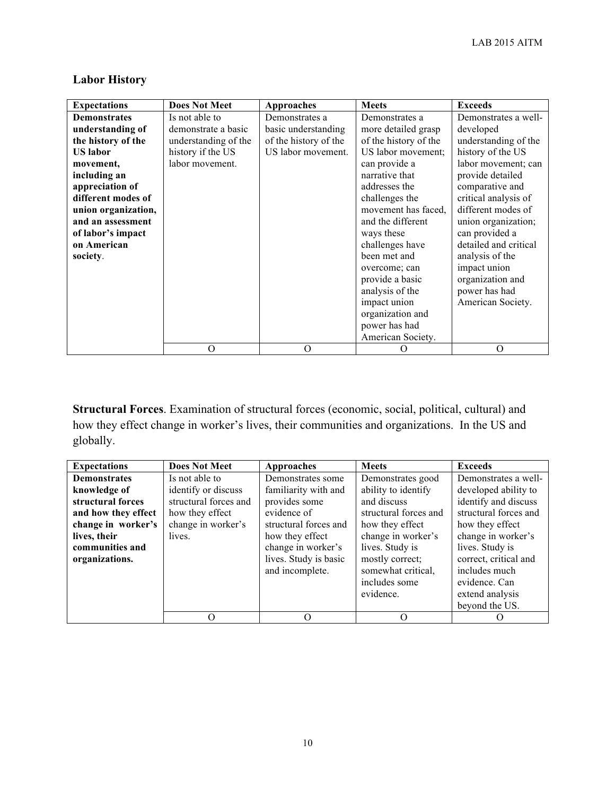| <b>Expectations</b> | <b>Does Not Meet</b> | <b>Approaches</b>     | <b>Meets</b>          | <b>Exceeds</b>        |
|---------------------|----------------------|-----------------------|-----------------------|-----------------------|
| <b>Demonstrates</b> | Is not able to       | Demonstrates a        | Demonstrates a        | Demonstrates a well-  |
| understanding of    | demonstrate a basic  | basic understanding   | more detailed grasp   | developed             |
| the history of the  | understanding of the | of the history of the | of the history of the | understanding of the  |
| <b>US</b> labor     | history if the US    | US labor movement.    | US labor movement;    | history of the US     |
| movement,           | labor movement.      |                       | can provide a         | labor movement; can   |
| including an        |                      |                       | narrative that        | provide detailed      |
| appreciation of     |                      |                       | addresses the         | comparative and       |
| different modes of  |                      |                       | challenges the        | critical analysis of  |
| union organization, |                      |                       | movement has faced.   | different modes of    |
| and an assessment   |                      |                       | and the different     | union organization;   |
| of labor's impact   |                      |                       | ways these            | can provided a        |
| on American         |                      |                       | challenges have       | detailed and critical |
| society.            |                      |                       | been met and          | analysis of the       |
|                     |                      |                       | overcome; can         | impact union          |
|                     |                      |                       | provide a basic       | organization and      |
|                     |                      |                       | analysis of the       | power has had         |
|                     |                      |                       | impact union          | American Society.     |
|                     |                      |                       | organization and      |                       |
|                     |                      |                       | power has had         |                       |
|                     |                      |                       | American Society.     |                       |
|                     | O                    | O                     |                       | $\Omega$              |

## **Labor History**

**Structural Forces**. Examination of structural forces (economic, social, political, cultural) and how they effect change in worker's lives, their communities and organizations. In the US and globally.

| <b>Expectations</b> | <b>Does Not Meet</b>  | Approaches            | <b>Meets</b>          | <b>Exceeds</b>        |
|---------------------|-----------------------|-----------------------|-----------------------|-----------------------|
| <b>Demonstrates</b> | Is not able to        | Demonstrates some     | Demonstrates good     | Demonstrates a well-  |
| knowledge of        | identify or discuss   | familiarity with and  | ability to identify   | developed ability to  |
| structural forces   | structural forces and | provides some         | and discuss           | identify and discuss  |
| and how they effect | how they effect       | evidence of           | structural forces and | structural forces and |
| change in worker's  | change in worker's    | structural forces and | how they effect       | how they effect       |
| lives, their        | lives.                | how they effect       | change in worker's    | change in worker's    |
| communities and     |                       | change in worker's    | lives. Study is       | lives. Study is       |
| organizations.      |                       | lives. Study is basic | mostly correct;       | correct, critical and |
|                     |                       | and incomplete.       | somewhat critical,    | includes much         |
|                     |                       |                       | includes some         | evidence. Can         |
|                     |                       |                       | evidence.             | extend analysis       |
|                     |                       |                       |                       | beyond the US.        |
|                     | Ω                     |                       |                       |                       |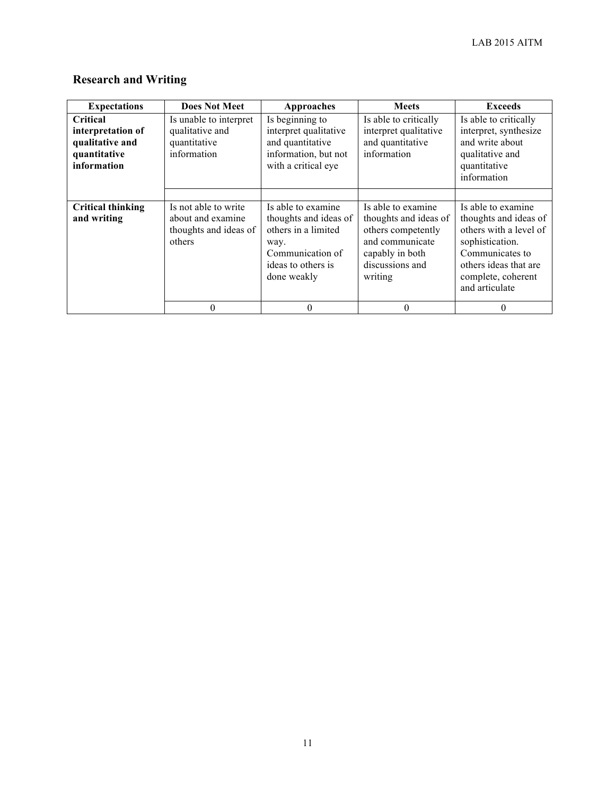## **Research and Writing**

| <b>Expectations</b>                                                             | <b>Does Not Meet</b>                                                         | <b>Approaches</b>                                                                                                                   | <b>Meets</b>                                                                                                                          | <b>Exceeds</b>                                                                                                                                                               |
|---------------------------------------------------------------------------------|------------------------------------------------------------------------------|-------------------------------------------------------------------------------------------------------------------------------------|---------------------------------------------------------------------------------------------------------------------------------------|------------------------------------------------------------------------------------------------------------------------------------------------------------------------------|
| Critical<br>interpretation of<br>qualitative and<br>quantitative<br>information | Is unable to interpret<br>qualitative and<br>quantitative<br>information     | Is beginning to<br>interpret qualitative<br>and quantitative<br>information, but not<br>with a critical eye                         | Is able to critically<br>interpret qualitative<br>and quantitative<br>information                                                     | Is able to critically<br>interpret, synthesize<br>and write about<br>qualitative and<br>quantitative<br>information                                                          |
| <b>Critical thinking</b><br>and writing                                         | Is not able to write<br>about and examine<br>thoughts and ideas of<br>others | Is able to examine<br>thoughts and ideas of<br>others in a limited<br>way.<br>Communication of<br>ideas to others is<br>done weakly | Is able to examine<br>thoughts and ideas of<br>others competently<br>and communicate<br>capably in both<br>discussions and<br>writing | Is able to examine<br>thoughts and ideas of<br>others with a level of<br>sophistication.<br>Communicates to<br>others ideas that are<br>complete, coherent<br>and articulate |
|                                                                                 | $\theta$                                                                     | $\theta$                                                                                                                            | $\theta$                                                                                                                              | 0                                                                                                                                                                            |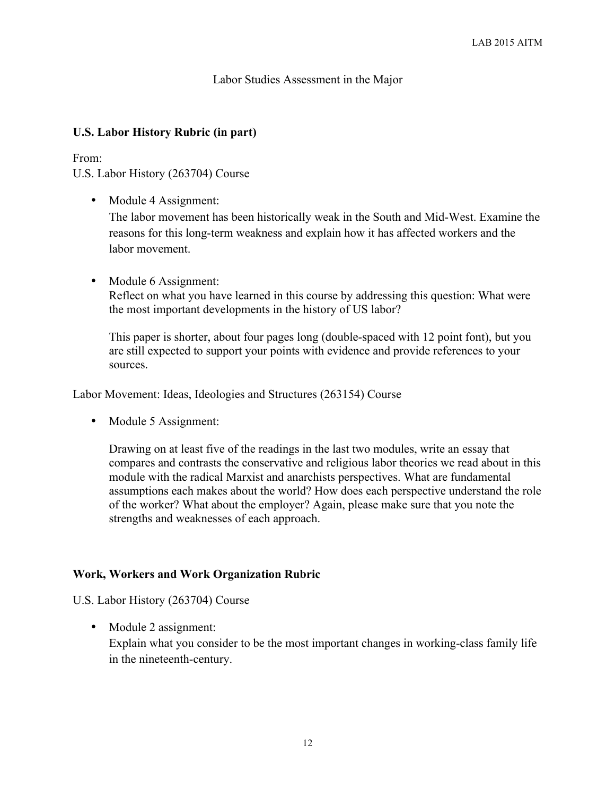#### Labor Studies Assessment in the Major

#### **U.S. Labor History Rubric (in part)**

#### From:

U.S. Labor History (263704) Course

• Module 4 Assignment:

The labor movement has been historically weak in the South and Mid-West. Examine the reasons for this long-term weakness and explain how it has affected workers and the labor movement.

• Module 6 Assignment: Reflect on what you have learned in this course by addressing this question: What were the most important developments in the history of US labor?

This paper is shorter, about four pages long (double-spaced with 12 point font), but you are still expected to support your points with evidence and provide references to your sources.

Labor Movement: Ideas, Ideologies and Structures (263154) Course

• Module 5 Assignment:

Drawing on at least five of the readings in the last two modules, write an essay that compares and contrasts the conservative and religious labor theories we read about in this module with the radical Marxist and anarchists perspectives. What are fundamental assumptions each makes about the world? How does each perspective understand the role of the worker? What about the employer? Again, please make sure that you note the strengths and weaknesses of each approach.

#### **Work, Workers and Work Organization Rubric**

U.S. Labor History (263704) Course

• Module 2 assignment: Explain what you consider to be the most important changes in working-class family life in the nineteenth-century.